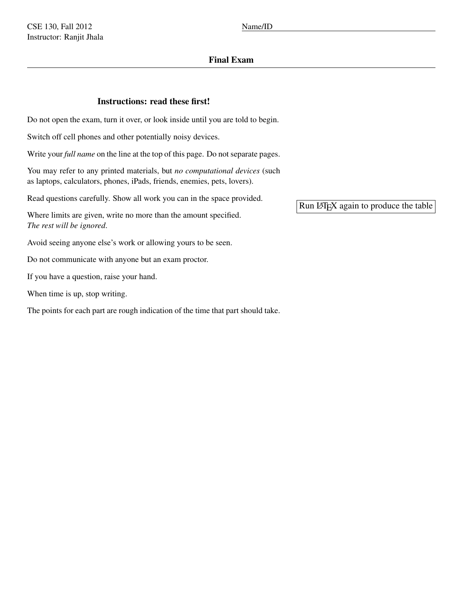# Final Exam

## Instructions: read these first!

Do not open the exam, turn it over, or look inside until you are told to begin.

Switch off cell phones and other potentially noisy devices.

Write your *full name* on the line at the top of this page. Do not separate pages.

You may refer to any printed materials, but *no computational devices* (such as laptops, calculators, phones, iPads, friends, enemies, pets, lovers).

Read questions carefully. Show all work you can in the space provided.

Where limits are given, write no more than the amount specified. *The rest will be ignored*.

Avoid seeing anyone else's work or allowing yours to be seen.

Do not communicate with anyone but an exam proctor.

If you have a question, raise your hand.

When time is up, stop writing.

The points for each part are rough indication of the time that part should take.

Run LATEX again to produce the table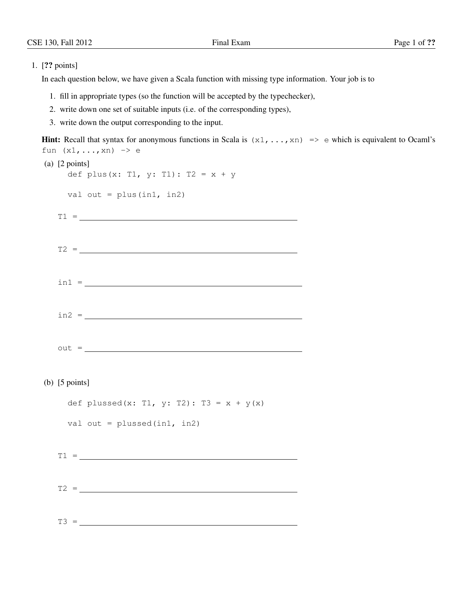#### 1. [?? points]

In each question below, we have given a Scala function with missing type information. Your job is to

- 1. fill in appropriate types (so the function will be accepted by the typechecker),
- 2. write down one set of suitable inputs (i.e. of the corresponding types),
- 3. write down the output corresponding to the input.

```
Hint: Recall that syntax for anonymous functions in Scala is (x_1, \ldots, x_n) \implies e which is equivalent to Ocaml's
fun (x1, \ldots, xn) \rightarrow e(a) [2 points]
   def plus(x: T1, y: T1): T2 = x + yval out = plus(int, in2)T1 =T2 = \_\text{in1} = \_\text{in2} =
  out =(b) [5 points]
   def plussed(x: T1, y: T2): T3 = x + y(x)
   val out = plussed(in1, in2)
  T1 = \_T2 = \_
```
 $T3 =$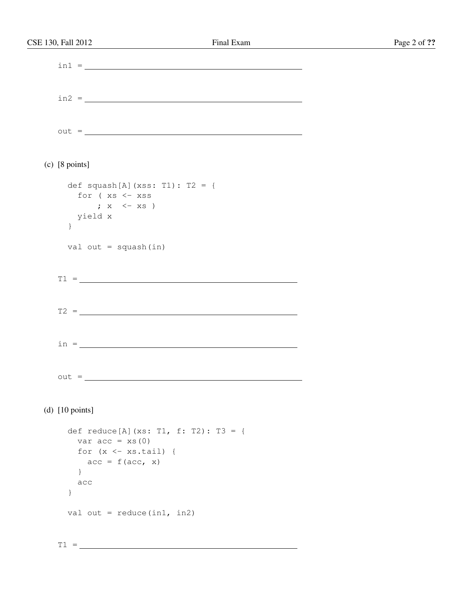| CSE 130, Fall 2012                                  | Final Exam | Page 2 of ?? |
|-----------------------------------------------------|------------|--------------|
|                                                     |            |              |
|                                                     |            |              |
|                                                     |            |              |
|                                                     |            |              |
|                                                     | $\ln 2 =$  |              |
|                                                     |            |              |
|                                                     | $out = \_$ |              |
|                                                     |            |              |
|                                                     |            |              |
| $(c)$ [8 points]                                    |            |              |
|                                                     |            |              |
| def squash[A](xss: T1): T2 = {                      |            |              |
| for (xs <- xss                                      |            |              |
| $; \times \leftarrow xs$<br>yield x                 |            |              |
| $\}$                                                |            |              |
|                                                     |            |              |
| val out = $square(in)$                              |            |              |
|                                                     |            |              |
|                                                     | $T1 = \_$  |              |
|                                                     |            |              |
|                                                     |            |              |
|                                                     |            |              |
|                                                     |            |              |
|                                                     |            |              |
|                                                     |            |              |
|                                                     |            |              |
| $out =$                                             |            |              |
|                                                     |            |              |
|                                                     |            |              |
| (d) $[10 \text{ points}]$                           |            |              |
|                                                     |            |              |
| def reduce [A] (xs: T1, f: T2): T3 = {              |            |              |
| var $acc = xs(0)$<br>for $(x \leftarrow xs.tail)$ { |            |              |
| $acc = f(acc, x)$                                   |            |              |
| $\}$                                                |            |              |
| acc                                                 |            |              |
| $\}$                                                |            |              |
|                                                     |            |              |
| val out = $reduce(in1, in2)$                        |            |              |
|                                                     |            |              |

 $\overline{\phantom{0}}$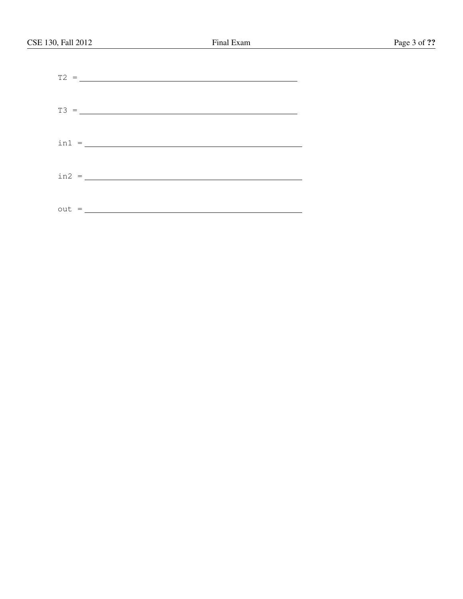| $\text{in1} = \_$ |  |
|-------------------|--|
|                   |  |
|                   |  |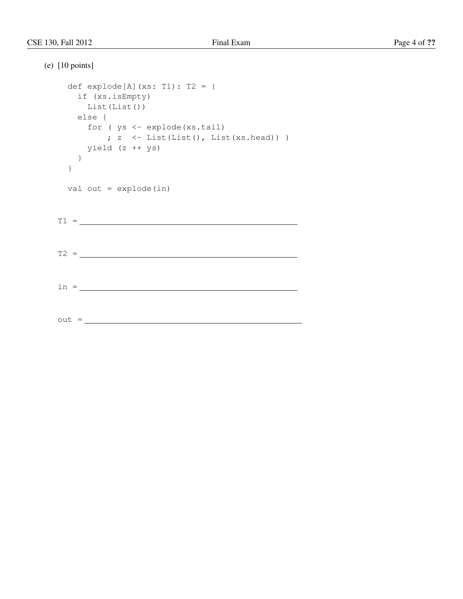```
(e) [10 points]
  def explode[A](xs: T1): T2 = {
   if (xs.isEmpty)
    List(List())
   else {
    for ( ys <- explode(xs.tail)
     ; z < - List(List(), List(xs.head)))
    yield (z ++ ys)
   }
  }
  val out = explode(in)
 T1 = \_T2 =in =
 out =
```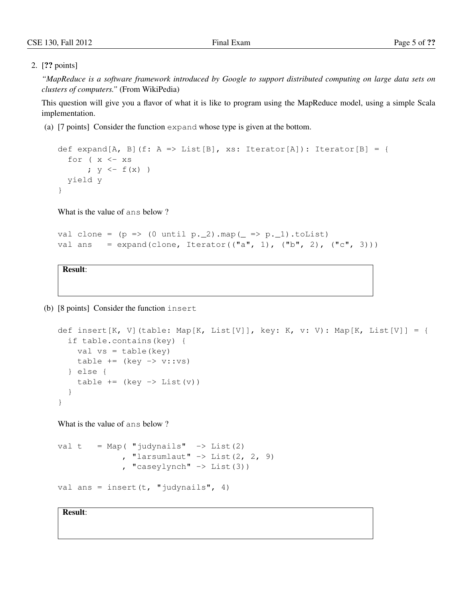### 2. [?? points]

*"MapReduce is a software framework introduced by Google to support distributed computing on large data sets on clusters of computers."* (From WikiPedia)

This question will give you a flavor of what it is like to program using the MapReduce model, using a simple Scala implementation.

(a) [7 points] Consider the function expand whose type is given at the bottom.

```
def expand[A, B](f: A => List[B], xs: Iterator[A]): Iterator[B] = {
  for (x < -xs; y \leftarrow f(x)yield y
}
```
What is the value of ans below ?

```
val clone = (p \Rightarrow (0 \text{ until } p.2) .map( = \Rightarrow p.1).toList)val ans = expand(clone, Iterator(("a", 1), ("b", 2), ("c", 3)))
```
Result:

(b) [8 points] Consider the function insert

```
def insert[K, V](table: Map[K, List[V]], key: K, v: V): Map[K, List[V]] = {
  if table.contains(key) {
    val vs = table(key)table += (key -> v::vs)
  } else {
    table += (key -> List(v))
  }
}
```
What is the value of ans below ?

```
val t = Map( "judynails" \rightarrow List(2)
                , "larsumlaut" \rightarrow List(2, 2, 9)
                , "caseylynch" \rightarrow List(3))
```

```
val ans = insert(t, "judynails", 4)
```
Result: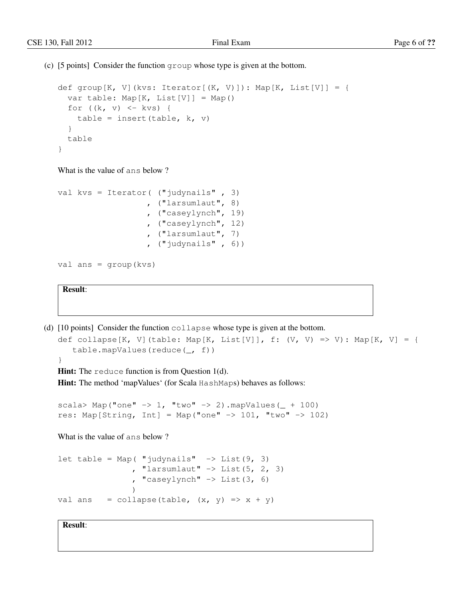(c) [5 points] Consider the function group whose type is given at the bottom.

```
def group[K, V](kvs: Iterator[(K, V)]): Map[K, List[V]] = {
  var table: Map[K, List[V]] = Map()
  for ((k, v) \leq kvs) {
   table = insert(table, k, v)
  }
  table
}
```
What is the value of ans below ?

```
val kvs = Iterator( ("judynails" , 3)
                   , ("larsumlaut", 8)
                   , ("caseylynch", 19)
                   , ("caseylynch", 12)
                   , ("larsumlaut", 7)
                   , ("judynails" , 6))
```

```
val ans = group(kvs)
```
Result:

```
(d) [10 points] Consider the function collapse whose type is given at the bottom.
```

```
def collapse[K, V](table: Map[K, List[V]], f: (V, V) => V): Map[K, V] = {
   table.mapValues(reduce(_, f))
```

```
}
```
Hint: The reduce function is from Question 1(d).

Hint: The method 'mapValues' (for Scala HashMaps) behaves as follows:

```
scala> Map("one" \rightarrow 1, "two" \rightarrow 2).mapValues( + 100)
res: Map[String, Int] = Map("one" \rightarrow 101, "two" \rightarrow 102)
```
What is the value of ans below ?

```
let table = Map( "judynails" \rightarrow List(9, 3)
                 , "larsumlaut" \rightarrow List(5, 2, 3)
                  , "caseylynch" \rightarrow List(3, 6)
                  )
val ans = collapse(table, (x, y) => x + y)
```
Result: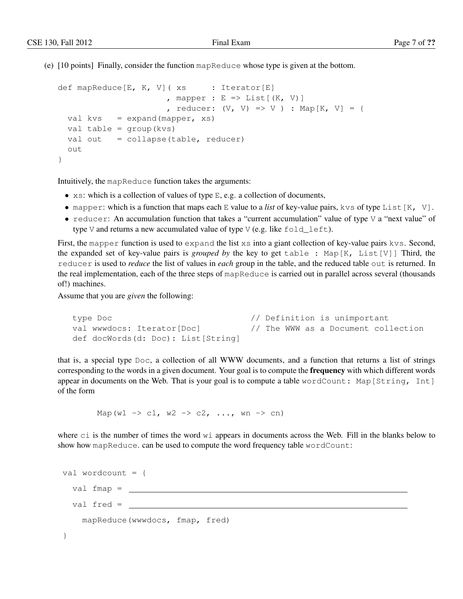(e) [10 points] Finally, consider the function mapReduce whose type is given at the bottom.

```
def mapReduce[E, K, V] (xs : Iterator[E], mapper : E \Rightarrow List[(K, V)], reducer: (V, V) => V ) : Map[K, V] = {
 val kvs = expand(mapper, xs)val table = group(kvs)
 val out = collapse(table, reducer)
  out
}
```
Intuitively, the mapReduce function takes the arguments:

- $x s$ : which is a collection of values of type E, e.g. a collection of documents,
- mapper: which is a function that maps each E value to a *list* of key-value pairs, kvs of type List [K, V].
- reducer: An accumulation function that takes a "current accumulation" value of type  $\vee$  a "next value" of type V and returns a new accumulated value of type V (e.g. like  $fold$   $left$   $left$ .

First, the mapper function is used to expand the list xs into a giant collection of key-value pairs kvs. Second, the expanded set of key-value pairs is *grouped by* the key to get table : Map[K, List[V]] Third, the reducer is used to *reduce* the list of values in *each* group in the table, and the reduced table out is returned. In the real implementation, each of the three steps of mapReduce is carried out in parallel across several (thousands of!) machines.

Assume that you are *given* the following:

```
type Doc \frac{1}{2} // Definition is unimportant
val wwwdocs: Iterator[Doc] // The WWW as a Document collection
def docWords(d: Doc): List[String]
```
that is, a special type Doc, a collection of all WWW documents, and a function that returns a list of strings corresponding to the words in a given document. Your goal is to compute the **frequency** with which different words appear in documents on the Web. That is your goal is to compute a table wordCount: Map[String, Int] of the form

Map(w1 -> c1, w2 -> c2, ..., wn -> cn)

where ci is the number of times the word wi appears in documents across the Web. Fill in the blanks below to show how mapReduce. can be used to compute the word frequency table wordCount:

```
val wordcount = {
 val fmap =
  val fred =
    mapReduce(wwwdocs, fmap, fred)
}
```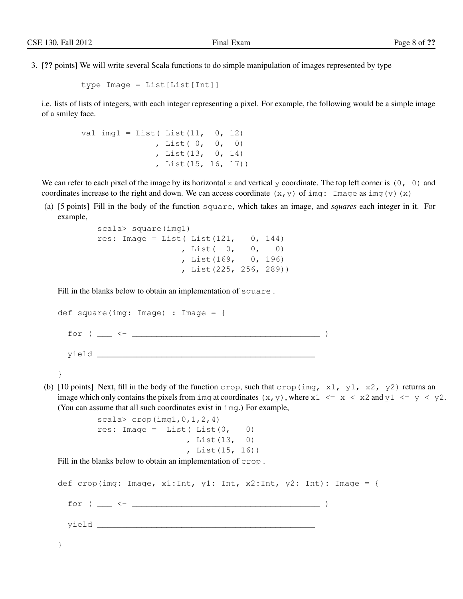3. [?? points] We will write several Scala functions to do simple manipulation of images represented by type

```
type Image = List[List[Int]]
```
i.e. lists of lists of integers, with each integer representing a pixel. For example, the following would be a simple image of a smiley face.

```
val img1 = List(List(11, 0, 12)), List( 0, 0, 0)
               , List(13, 0, 14)
               , List(15, 16, 17))
```
We can refer to each pixel of the image by its horizontal x and vertical y coordinate. The top left corner is  $(0, 0)$  and coordinates increase to the right and down. We can access coordinate  $(x, y)$  of img: Image as img(y)(x)

(a) [5 points] Fill in the body of the function square, which takes an image, and *squares* each integer in it. For example,

```
scala> square(img1)
res: Image = List (List (121, 0, 144), List( 0, 0, 0)
                , List(169, 0, 196)
                , List(225, 256, 289))
```
Fill in the blanks below to obtain an implementation of square .

```
def square(img: Image) : Image = {
  for ( ___ <- ______________________________________ )
  yield ____________________________________________
```

```
}
```
(b) [10 points] Next, fill in the body of the function crop, such that crop(img,  $x1$ ,  $y1$ ,  $x2$ ,  $y2$ ) returns an image which only contains the pixels from img at coordinates  $(x, y)$ , where  $x1 \le x \le x2$  and  $y1 \le y \le y2$ . (You can assume that all such coordinates exist in img.) For example,

```
scala> crop(imq1,0,1,2,4)res: Image = List(List(0, 0)), List(13, 0)
                 , List(15, 16))
```
Fill in the blanks below to obtain an implementation of crop .

def crop(img: Image, x1:Int, y1: Int, x2:Int, y2: Int): Image = { for ( \_\_\_ <- \_\_\_\_\_\_\_\_\_\_\_\_\_\_\_\_\_\_\_\_\_\_\_\_\_\_\_\_\_\_\_\_\_\_\_\_\_\_ ) yield \_\_\_\_\_\_\_\_\_\_\_\_\_\_\_\_\_\_\_\_\_\_\_\_\_\_\_\_\_\_\_\_\_\_\_\_\_\_\_\_\_\_\_\_ }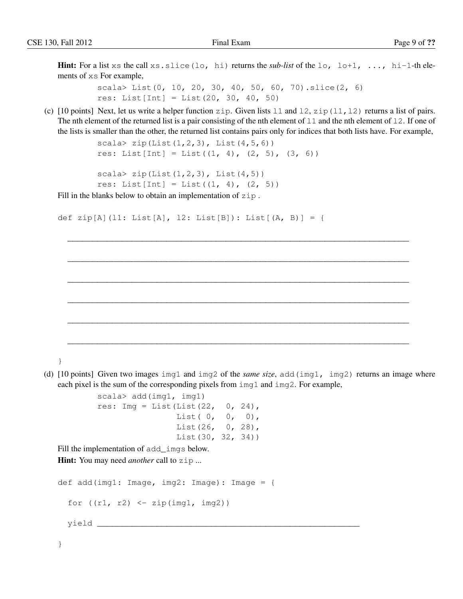**Hint:** For a list xs the call xs.slice(lo, hi) returns the *sub-list* of the lo, lo+1, ..., hi-1-th elements of xs For example,

> scala> List(0, 10, 20, 30, 40, 50, 60, 70).slice(2, 6) res: List[Int] = List(20, 30, 40, 50)

(c)  $[10 \text{ points}]$  Next, let us write a helper function zip. Given lists 11 and 12, zip(11, 12) returns a list of pairs. The nth element of the returned list is a pair consisting of the nth element of  $11$  and the nth element of  $12$ . If one of the lists is smaller than the other, the returned list contains pairs only for indices that both lists have. For example,

\_\_\_\_\_\_\_\_\_\_\_\_\_\_\_\_\_\_\_\_\_\_\_\_\_\_\_\_\_\_\_\_\_\_\_\_\_\_\_\_\_\_\_\_\_\_\_\_\_\_\_\_\_\_\_\_\_\_\_\_\_\_\_\_\_\_\_\_\_

\_\_\_\_\_\_\_\_\_\_\_\_\_\_\_\_\_\_\_\_\_\_\_\_\_\_\_\_\_\_\_\_\_\_\_\_\_\_\_\_\_\_\_\_\_\_\_\_\_\_\_\_\_\_\_\_\_\_\_\_\_\_\_\_\_\_\_\_\_

\_\_\_\_\_\_\_\_\_\_\_\_\_\_\_\_\_\_\_\_\_\_\_\_\_\_\_\_\_\_\_\_\_\_\_\_\_\_\_\_\_\_\_\_\_\_\_\_\_\_\_\_\_\_\_\_\_\_\_\_\_\_\_\_\_\_\_\_\_

\_\_\_\_\_\_\_\_\_\_\_\_\_\_\_\_\_\_\_\_\_\_\_\_\_\_\_\_\_\_\_\_\_\_\_\_\_\_\_\_\_\_\_\_\_\_\_\_\_\_\_\_\_\_\_\_\_\_\_\_\_\_\_\_\_\_\_\_\_

\_\_\_\_\_\_\_\_\_\_\_\_\_\_\_\_\_\_\_\_\_\_\_\_\_\_\_\_\_\_\_\_\_\_\_\_\_\_\_\_\_\_\_\_\_\_\_\_\_\_\_\_\_\_\_\_\_\_\_\_\_\_\_\_\_\_\_\_\_

\_\_\_\_\_\_\_\_\_\_\_\_\_\_\_\_\_\_\_\_\_\_\_\_\_\_\_\_\_\_\_\_\_\_\_\_\_\_\_\_\_\_\_\_\_\_\_\_\_\_\_\_\_\_\_\_\_\_\_\_\_\_\_\_\_\_\_\_\_

```
scala> zip(List(1, 2, 3), List(4, 5, 6))
res: List[Int] = List((1, 4), (2, 5), (3, 6))
```

```
scala> zip(List(1,2,3), List(4,5))res: List [Int] = List ((1, 4), (2, 5))
```
Fill in the blanks below to obtain an implementation of zip.

```
def zip[A](l1: List[A], l2: List[B]): List[(A, B)] = {
```
}

(d) [10 points] Given two images img1 and img2 of the *same size*, add(img1, img2) returns an image where each pixel is the sum of the corresponding pixels from img1 and img2. For example,

```
scala> add(img1, img1)
res: Imq = List(List(22, 0, 24),
               List( 0, 0, 0),
                List(26, 0, 28),
                List(30, 32, 34))
```
Fill the implementation of add\_imgs below.

Hint: You may need *another* call to zip ...

```
def add(img1: Image, img2: Image): Image = {
   for ((r1, r2) < -zip(imq1, img2))yield _____________________________________________________
```
}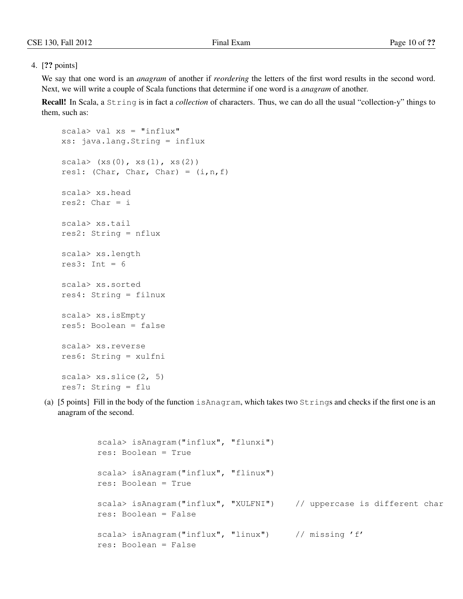### 4. [?? points]

We say that one word is an *anagram* of another if *reordering* the letters of the first word results in the second word. Next, we will write a couple of Scala functions that determine if one word is a *anagram* of another.

Recall! In Scala, a String is in fact a *collection* of characters. Thus, we can do all the usual "collection-y" things to them, such as:

```
scal \lambda val xs = "influx"xs: java.lang.String = influx
scal (xs(0), xs(1), xs(2))res1: (Char, Char, Char) = (i, n, f)scala> xs.head
res2: Char = iscala> xs.tail
res2: String = nflux
scala> xs.length
res3: Int = 6scala> xs.sorted
res4: String = filnux
scala> xs.isEmpty
res5: Boolean = false
scala> xs.reverse
res6: String = xulfni
scala> xs.slice(2, 5)
res7: String = flu
```
(a) [5 points] Fill in the body of the function isAnagram, which takes two Strings and checks if the first one is an anagram of the second.

```
scala> isAnagram("influx", "flunxi")
res: Boolean = True
scala> isAnagram("influx", "flinux")
res: Boolean = True
scala> isAnagram("influx", "XULFNI") // uppercase is different char
res: Boolean = False
scala> isAnagram("influx", "linux") // missing 'f'
res: Boolean = False
```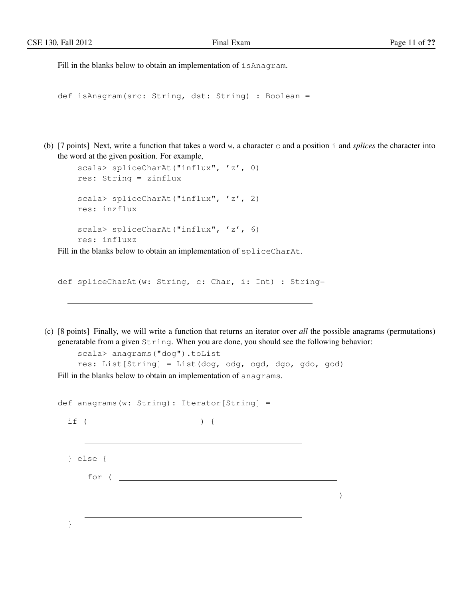Fill in the blanks below to obtain an implementation of  $\exists$  sAnagram.

```
def isAnagram(src: String, dst: String) : Boolean =
```
(b) [7 points] Next, write a function that takes a word w, a character c and a position i and *splices* the character into the word at the given position. For example,

```
scala> spliceCharAt("influx", 'z', 0)
res: String = zinflux
scala> spliceCharAt("influx", 'z', 2)
res: inzflux
scala> spliceCharAt("influx", 'z', 6)
res: influxz
```
Fill in the blanks below to obtain an implementation of spliceCharAt.

def spliceCharAt(w: String, c: Char, i: Int) : String=

(c) [8 points] Finally, we will write a function that returns an iterator over *all* the possible anagrams (permutations) generatable from a given String. When you are done, you should see the following behavior:

```
scala> anagrams("dog").toList
    res: List[String] = List(dog, odg, ogd, dgo, gdo, god)
Fill in the blanks below to obtain an implementation of anagrams.
```

|                  | def anagrams(w: String): Iterator[String] = |  |
|------------------|---------------------------------------------|--|
| if (             |                                             |  |
| $\}$ else {      |                                             |  |
| for $($ $\qquad$ |                                             |  |
|                  |                                             |  |
|                  |                                             |  |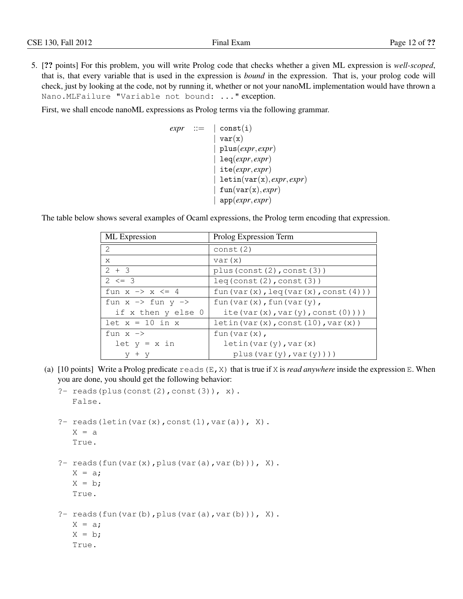5. [?? points] For this problem, you will write Prolog code that checks whether a given ML expression is *well-scoped*, that is, that every variable that is used in the expression is *bound* in the expression. That is, your prolog code will check, just by looking at the code, not by running it, whether or not your nanoML implementation would have thrown a Nano.MLFailure "Variable not bound: ..." exception.

First, we shall encode nanoML expressions as Prolog terms via the following grammar.

```
expr ::= |\text{const}(i)|var(x)| plus(expr, expr)
               | leq(expr, expr)
               | ite(expr, expr)
               | letin(var(x), expr, expr)
               fun(var(x), expr)| app(expr, expr)
```
The table below shows several examples of Ocaml expressions, the Prolog term encoding that expression.

| ML Expression                           | Prolog Expression Term                           |
|-----------------------------------------|--------------------------------------------------|
| 2                                       | const(2)                                         |
| X                                       | var(x)                                           |
| $2 + 3$                                 | plus (const $(2)$ , const $(3)$ )                |
| $2 \leq 3$                              | leq(const(2),const(3))                           |
| fun $x \rightarrow x \leftarrow 4$      | fun(var(x), $leq(x)$ , $(var(x), const(4))$ )    |
| fun $x \rightarrow$ fun $y \rightarrow$ | fun $\text{(var(x)}, \text{fun}(\text{var(y)}),$ |
| if x then y else 0                      | ite(var $(x)$ , var $(y)$ , const $(0)$ )))      |
| $let x = 10 in x$                       | letin(var(x), const(10), var(x))                 |
| fun $x \rightarrow$                     | fun (var(x),                                     |
| $let y = x in$                          | letin(var(y), var(x)                             |
| $+$ y                                   | plus(var(y),var(y)))                             |

(a)  $[10 \text{ points}]$  Write a Prolog predicate reads  $(E, X)$  that is true if X is *read anywhere* inside the expression E. When you are done, you should get the following behavior:

```
?- reads(plus(const(2), const(3)), x).
   False.
?- reads(letin(var(x), const(1), var(a)), X).
   X = aTrue.
?- reads(fun(var(x), plus(var(a), var(b))), X).
   X = a;
   X = b;
   True.
?- reads(fun(var(b), plus(var(a), var(b))), X).
   X = a;X = b;True.
```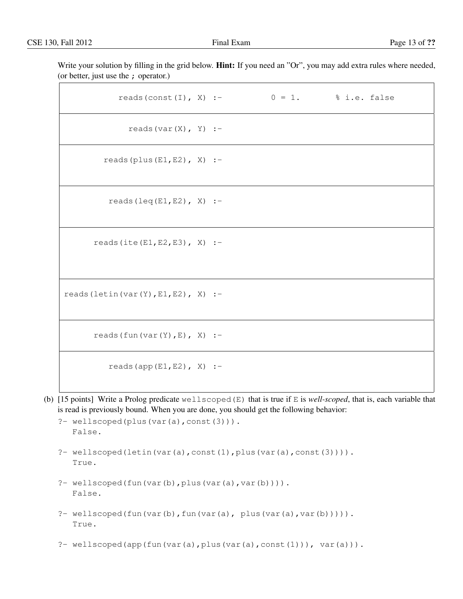Write your solution by filling in the grid below. **Hint:** If you need an "Or", you may add extra rules where needed, (or better, just use the ; operator.)

| reads (const (I), X) :- $0 = 1$ . % i.e. false |  |  |
|------------------------------------------------|--|--|
| reads $(var(X), Y)$ :-                         |  |  |
| reads (plus $(E1, E2)$ , X) :-                 |  |  |
| reads $(\text{leq}(E1, E2), X)$ :-             |  |  |
| reads (ite $(E1, E2, E3)$ , X) :-              |  |  |
| reads (letin (var $(Y)$ , E1, E2), X) :-       |  |  |
| reads $(fun(var(Y), E), X)$ :-                 |  |  |
| reads (app $(E1, E2)$ , X) :-                  |  |  |

(b) [15 points] Write a Prolog predicate wellscoped(E) that is true if E is *well-scoped*, that is, each variable that is read is previously bound. When you are done, you should get the following behavior:

```
?- wellscoped(plus(var(a),const(3))).
  False.
```
- ?- wellscoped(letin(var(a),const(1),plus(var(a),const(3)))). True.
- ?- wellscoped(fun(var(b), plus(var(a), var(b)))). False.
- ?- wellscoped(fun(var(b),fun(var(a), plus(var(a),var(b))))). True.
- ?- wellscoped(app(fun(var(a),plus(var(a),const(1))), var(a))).